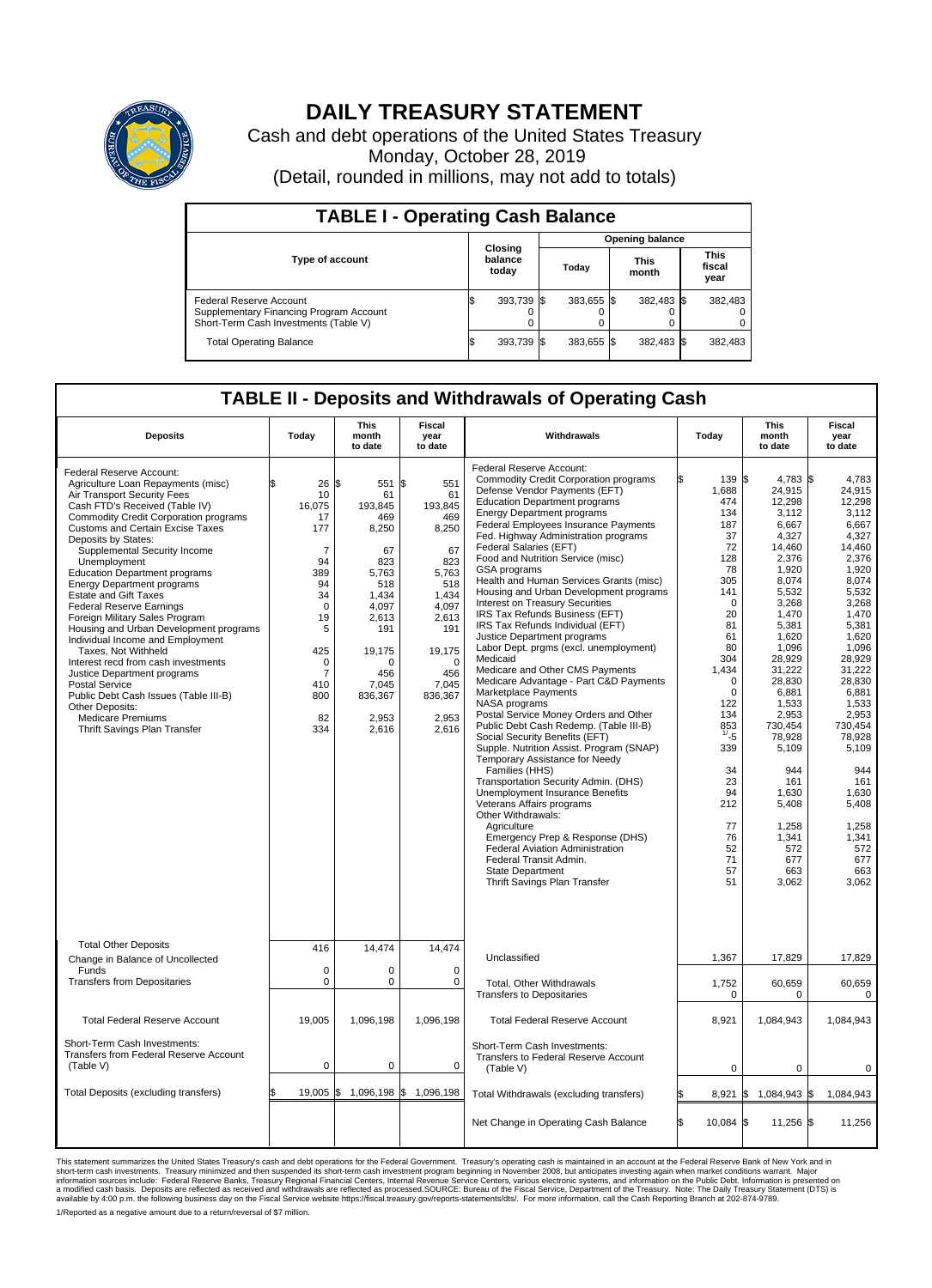

## **DAILY TREASURY STATEMENT**

Cash and debt operations of the United States Treasury Monday, October 28, 2019 (Detail, rounded in millions, may not add to totals)

| <b>TABLE I - Operating Cash Balance</b>                                                                     |  |                             |  |                        |  |                      |  |                               |  |  |
|-------------------------------------------------------------------------------------------------------------|--|-----------------------------|--|------------------------|--|----------------------|--|-------------------------------|--|--|
|                                                                                                             |  | Closing<br>balance<br>today |  | <b>Opening balance</b> |  |                      |  |                               |  |  |
| <b>Type of account</b>                                                                                      |  |                             |  | Today                  |  | <b>This</b><br>month |  | <b>This</b><br>fiscal<br>year |  |  |
| Federal Reserve Account<br>Supplementary Financing Program Account<br>Short-Term Cash Investments (Table V) |  | 393,739                     |  | $383.655$ \$           |  | 382,483 \$           |  | 382,483                       |  |  |
| <b>Total Operating Balance</b>                                                                              |  | 393,739 \$                  |  | 383,655 \$             |  | 382,483 \$           |  | 382,483                       |  |  |

## **TABLE II - Deposits and Withdrawals of Operating Cash**

| <b>Deposits</b>                                                                                                                                                                                                                                                                                                                                                                                                                                                                                                                                                                                                                                                                                                                                                                                          | Today                                                                                                                                                            | This<br>month<br>to date                                                                                                                                               | Fiscal<br>year<br>to date                                                                                                                                                       | Withdrawals                                                                                                                                                                                                                                                                                                                                                                                                                                                                                                                                                                                                                                                                                                                                                                                                                                                                                                                                                                                                                                                                                                                                                                                                                                                                                        | Today                                                                                                                                                                                                                                                          | <b>This</b><br>month<br>to date                                                                                                                                                                                                                                                                                           | Fiscal<br>year<br>to date                                                                                                                                                                                                                                                                                              |
|----------------------------------------------------------------------------------------------------------------------------------------------------------------------------------------------------------------------------------------------------------------------------------------------------------------------------------------------------------------------------------------------------------------------------------------------------------------------------------------------------------------------------------------------------------------------------------------------------------------------------------------------------------------------------------------------------------------------------------------------------------------------------------------------------------|------------------------------------------------------------------------------------------------------------------------------------------------------------------|------------------------------------------------------------------------------------------------------------------------------------------------------------------------|---------------------------------------------------------------------------------------------------------------------------------------------------------------------------------|----------------------------------------------------------------------------------------------------------------------------------------------------------------------------------------------------------------------------------------------------------------------------------------------------------------------------------------------------------------------------------------------------------------------------------------------------------------------------------------------------------------------------------------------------------------------------------------------------------------------------------------------------------------------------------------------------------------------------------------------------------------------------------------------------------------------------------------------------------------------------------------------------------------------------------------------------------------------------------------------------------------------------------------------------------------------------------------------------------------------------------------------------------------------------------------------------------------------------------------------------------------------------------------------------|----------------------------------------------------------------------------------------------------------------------------------------------------------------------------------------------------------------------------------------------------------------|---------------------------------------------------------------------------------------------------------------------------------------------------------------------------------------------------------------------------------------------------------------------------------------------------------------------------|------------------------------------------------------------------------------------------------------------------------------------------------------------------------------------------------------------------------------------------------------------------------------------------------------------------------|
| Federal Reserve Account:<br>Agriculture Loan Repayments (misc)<br>Air Transport Security Fees<br>Cash FTD's Received (Table IV)<br><b>Commodity Credit Corporation programs</b><br><b>Customs and Certain Excise Taxes</b><br>Deposits by States:<br>Supplemental Security Income<br>Unemployment<br><b>Education Department programs</b><br><b>Energy Department programs</b><br><b>Estate and Gift Taxes</b><br><b>Federal Reserve Earnings</b><br>Foreign Military Sales Program<br>Housing and Urban Development programs<br>Individual Income and Employment<br>Taxes, Not Withheld<br>Interest recd from cash investments<br>Justice Department programs<br>Postal Service<br>Public Debt Cash Issues (Table III-B)<br>Other Deposits:<br><b>Medicare Premiums</b><br>Thrift Savings Plan Transfer | \$<br>26<br>10<br>16,075<br>17<br>177<br>7<br>94<br>389<br>94<br>34<br>$\mathbf 0$<br>19<br>5<br>425<br>$\mathbf 0$<br>$\overline{7}$<br>410<br>800<br>82<br>334 | l\$<br>551<br>61<br>193,845<br>469<br>8,250<br>67<br>823<br>5.763<br>518<br>1.434<br>4,097<br>2,613<br>191<br>19,175<br>n<br>456<br>7.045<br>836,367<br>2,953<br>2,616 | \$<br>551<br>61<br>193,845<br>469<br>8,250<br>67<br>823<br>5.763<br>518<br>1.434<br>4,097<br>2,613<br>191<br>19,175<br>$\mathbf 0$<br>456<br>7,045<br>836,367<br>2,953<br>2,616 | Federal Reserve Account:<br><b>Commodity Credit Corporation programs</b><br>Defense Vendor Payments (EFT)<br><b>Education Department programs</b><br><b>Energy Department programs</b><br>Federal Employees Insurance Payments<br>Fed. Highway Administration programs<br>Federal Salaries (EFT)<br>Food and Nutrition Service (misc)<br>GSA programs<br>Health and Human Services Grants (misc)<br>Housing and Urban Development programs<br>Interest on Treasury Securities<br>IRS Tax Refunds Business (EFT)<br>IRS Tax Refunds Individual (EFT)<br>Justice Department programs<br>Labor Dept. prgms (excl. unemployment)<br>Medicaid<br>Medicare and Other CMS Payments<br>Medicare Advantage - Part C&D Payments<br>Marketplace Payments<br>NASA programs<br>Postal Service Money Orders and Other<br>Public Debt Cash Redemp. (Table III-B)<br>Social Security Benefits (EFT)<br>Supple. Nutrition Assist. Program (SNAP)<br>Temporary Assistance for Needy<br>Families (HHS)<br>Transportation Security Admin. (DHS)<br>Unemployment Insurance Benefits<br>Veterans Affairs programs<br>Other Withdrawals:<br>Agriculture<br>Emergency Prep & Response (DHS)<br><b>Federal Aviation Administration</b><br>Federal Transit Admin.<br><b>State Department</b><br>Thrift Savings Plan Transfer | 139 \$<br>1,688<br>474<br>134<br>187<br>37<br>72<br>128<br>78<br>305<br>141<br>$\Omega$<br>20<br>81<br>61<br>80<br>304<br>1,434<br>$\mathbf 0$<br>$\mathbf 0$<br>122<br>134<br>853<br>1/25<br>339<br>34<br>23<br>94<br>212<br>77<br>76<br>52<br>71<br>57<br>51 | 4,783 \$<br>24,915<br>12,298<br>3,112<br>6,667<br>4,327<br>14,460<br>2.376<br>1,920<br>8,074<br>5,532<br>3,268<br>1,470<br>5,381<br>1.620<br>1,096<br>28,929<br>31,222<br>28,830<br>6,881<br>1,533<br>2,953<br>730,454<br>78,928<br>5,109<br>944<br>161<br>1.630<br>5,408<br>1,258<br>1,341<br>572<br>677<br>663<br>3,062 | 4.783<br>24,915<br>12.298<br>3.112<br>6,667<br>4,327<br>14,460<br>2,376<br>1,920<br>8,074<br>5,532<br>3,268<br>1,470<br>5,381<br>1,620<br>1,096<br>28,929<br>31,222<br>28,830<br>6,881<br>1,533<br>2,953<br>730,454<br>78,928<br>5,109<br>944<br>161<br>1.630<br>5,408<br>1,258<br>1,341<br>572<br>677<br>663<br>3,062 |
| <b>Total Other Deposits</b><br>Change in Balance of Uncollected                                                                                                                                                                                                                                                                                                                                                                                                                                                                                                                                                                                                                                                                                                                                          | 416                                                                                                                                                              | 14,474                                                                                                                                                                 | 14,474                                                                                                                                                                          | Unclassified                                                                                                                                                                                                                                                                                                                                                                                                                                                                                                                                                                                                                                                                                                                                                                                                                                                                                                                                                                                                                                                                                                                                                                                                                                                                                       | 1,367                                                                                                                                                                                                                                                          | 17.829                                                                                                                                                                                                                                                                                                                    | 17,829                                                                                                                                                                                                                                                                                                                 |
| Funds<br><b>Transfers from Depositaries</b>                                                                                                                                                                                                                                                                                                                                                                                                                                                                                                                                                                                                                                                                                                                                                              | $\mathbf 0$<br>$\mathbf 0$                                                                                                                                       | 0<br>0                                                                                                                                                                 | $\mathbf 0$<br>$\mathbf 0$                                                                                                                                                      | Total, Other Withdrawals<br><b>Transfers to Depositaries</b>                                                                                                                                                                                                                                                                                                                                                                                                                                                                                                                                                                                                                                                                                                                                                                                                                                                                                                                                                                                                                                                                                                                                                                                                                                       | 1,752<br>$\mathbf 0$                                                                                                                                                                                                                                           | 60,659<br>0                                                                                                                                                                                                                                                                                                               | 60,659<br>0                                                                                                                                                                                                                                                                                                            |
| <b>Total Federal Reserve Account</b>                                                                                                                                                                                                                                                                                                                                                                                                                                                                                                                                                                                                                                                                                                                                                                     | 19,005                                                                                                                                                           | 1,096,198                                                                                                                                                              | 1,096,198                                                                                                                                                                       | <b>Total Federal Reserve Account</b>                                                                                                                                                                                                                                                                                                                                                                                                                                                                                                                                                                                                                                                                                                                                                                                                                                                                                                                                                                                                                                                                                                                                                                                                                                                               | 8.921                                                                                                                                                                                                                                                          | 1,084,943                                                                                                                                                                                                                                                                                                                 | 1,084,943                                                                                                                                                                                                                                                                                                              |
| Short-Term Cash Investments:<br><b>Transfers from Federal Reserve Account</b><br>(Table V)                                                                                                                                                                                                                                                                                                                                                                                                                                                                                                                                                                                                                                                                                                               | $\mathbf 0$                                                                                                                                                      | 0                                                                                                                                                                      | 0                                                                                                                                                                               | Short-Term Cash Investments:<br>Transfers to Federal Reserve Account<br>(Table V)                                                                                                                                                                                                                                                                                                                                                                                                                                                                                                                                                                                                                                                                                                                                                                                                                                                                                                                                                                                                                                                                                                                                                                                                                  | $\mathbf 0$                                                                                                                                                                                                                                                    | 0                                                                                                                                                                                                                                                                                                                         | 0                                                                                                                                                                                                                                                                                                                      |
| Total Deposits (excluding transfers)                                                                                                                                                                                                                                                                                                                                                                                                                                                                                                                                                                                                                                                                                                                                                                     | 19.005                                                                                                                                                           | l\$                                                                                                                                                                    | 1,096,198 \$ 1,096,198                                                                                                                                                          | Total Withdrawals (excluding transfers)                                                                                                                                                                                                                                                                                                                                                                                                                                                                                                                                                                                                                                                                                                                                                                                                                                                                                                                                                                                                                                                                                                                                                                                                                                                            | 8,921                                                                                                                                                                                                                                                          | 1,084,943 \$<br>I\$                                                                                                                                                                                                                                                                                                       | 1,084,943                                                                                                                                                                                                                                                                                                              |
|                                                                                                                                                                                                                                                                                                                                                                                                                                                                                                                                                                                                                                                                                                                                                                                                          |                                                                                                                                                                  |                                                                                                                                                                        |                                                                                                                                                                                 | Net Change in Operating Cash Balance                                                                                                                                                                                                                                                                                                                                                                                                                                                                                                                                                                                                                                                                                                                                                                                                                                                                                                                                                                                                                                                                                                                                                                                                                                                               | l\$<br>10,084 \$                                                                                                                                                                                                                                               | 11,256 \$                                                                                                                                                                                                                                                                                                                 | 11,256                                                                                                                                                                                                                                                                                                                 |

This statement summarizes the United States Treasury's cash and debt operations for the Federal Government. Treasury operating in November 2008, but anticinates investing again when market conditions warrant. Major York an 1/Reported as a negative amount due to a return/reversal of \$7 million.